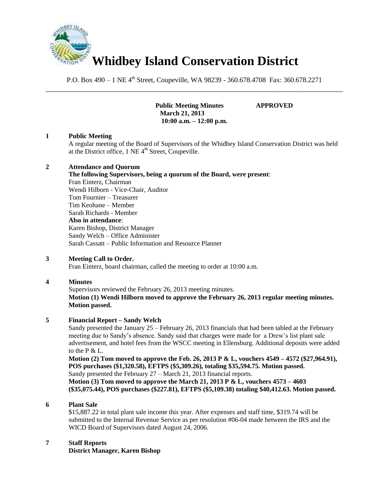

P.O. Box 490 – 1 NE 4<sup>th</sup> Street, Coupeville, WA 98239 - 360.678.4708 Fax: 360.678.2271 \_\_\_\_\_\_\_\_\_\_\_\_\_\_\_\_\_\_\_\_\_\_\_\_\_\_\_\_\_\_\_\_\_\_\_\_\_\_\_\_\_\_\_\_\_\_\_\_\_\_\_\_\_\_\_\_\_\_\_\_\_\_\_\_\_\_\_\_\_\_\_\_\_\_\_\_\_\_

> **Public Meeting Minutes APPROVED March 21, 2013 10:00 a.m. – 12:00 p.m.**

## **1 Public Meeting**

A regular meeting of the Board of Supervisors of the Whidbey Island Conservation District was held at the District office,  $1$  NE  $4<sup>th</sup>$  Street, Coupeville.

#### **2 Attendance and Quorum**

# **The following Supervisors, being a quorum of the Board, were present**:

Fran Einterz, Chairman Wendi Hilborn - Vice-Chair, Auditor Tom Fournier – Treasurer Tim Keohane – Member Sarah Richards - Member **Also in attendance**: Karen Bishop, District Manager Sandy Welch – Office Administer Sarah Cassatt – Public Information and Resource Planner

#### **3 Meeting Call to Order.**

Fran Einterz, board chairman, called the meeting to order at 10:00 a.m.

#### **4 Minutes**

Supervisors reviewed the February 26, 2013 meeting minutes. **Motion (1) Wendi Hilborn moved to approve the February 26, 2013 regular meeting minutes. Motion passed.**

#### **5 Financial Report – Sandy Welch**

Sandy presented the January 25 – February 26, 2013 financials that had been tabled at the February meeting due to Sandy's absence. Sandy said that charges were made for a Drew's list plant sale advertisement, and hotel fees from the WSCC meeting in Ellensburg. Additional deposits were added to the  $P & L$ .

**Motion (2) Tom moved to approve the Feb. 26, 2013 P & L, vouchers 4549 – 4572 (\$27,964.91), POS purchases (\$1,320.58), EFTPS (\$5,309.26), totaling \$35,594.75. Motion passed.**  Sandy presented the February 27 – March 21, 2013 financial reports.

**Motion (3) Tom moved to approve the March 21, 2013 P & L, vouchers 4573 – 4603 (\$35,075.44), POS purchases (\$227.81), EFTPS (\$5,109.38) totaling \$40,412.63. Motion passed.** 

#### **6 Plant Sale**

\$15,887.22 in total plant sale income this year. After expenses and staff time, \$319.74 will be submitted to the Internal Revenue Service as per resolution #06-04 made between the IRS and the WICD Board of Supervisors dated August 24, 2006.

## **7 Staff Reports**

**District Manager, Karen Bishop**